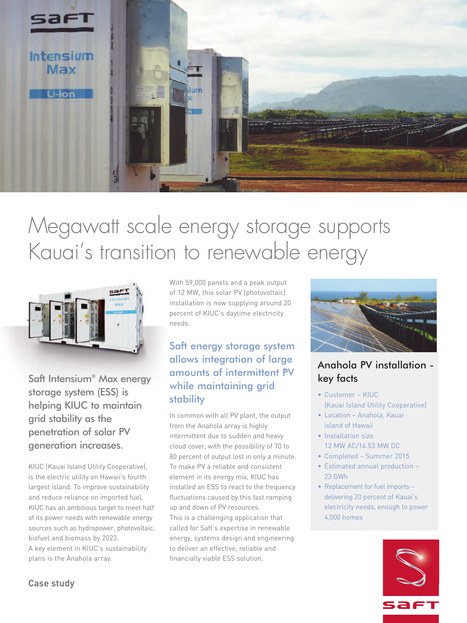

# Megawatt scale energy storage supports Kauai' s transition to renewable energy



Saft Intensium® Max energy storage system (ESS) is helping KIUC to maintain grid stability as the penetration of solar PV generation increases.

KIUC (Kauai Island Utility Cooperative), is the electric utility on Hawaii's fourth largest island. To improve sustainability and reduce reliance on imported fuel, KIUC has an ambitious target to meet half of its power needs with renewable energy sources such as hydropower, photovoltaic, biofuel and biomass by 2023. A key element in KIUC's sustainability plans is the Anahola array.

With 59,000 panels and a peak output of 12 MW, this solar PV (photovoltaic) installation is now supplying around 20 percent of KIUC's daytime electricity needs.

# Saft energy storage system allows integration of large amounts of intermittent PV while maintaining grid stability

In common with all PV plant, the output from the Anahola array is highly intermittent due to sudden and heavy cloud cover, with the possibility of 70 to 80 percent of output lost in only a minute. To make PV a reliable and consistent element in its energy mix, KIUC has installed an ESS to react to the frequency fluctuations caused by this fast ramping up and down of PV resources. This is a challenging application that called for Saft's expertise in renewable energy, systems design and engineering to deliver an effective, reliable and financially viable ESS solution.



# Anahola PV installation key facts

- Customer KIUC (Kauai Island Utility Cooperative)
- Location Anahola, Kauai island of Hawaii
- Installation size 12 MW AC/14.53 MW DC
- Completed Summer 2015
- Estimated annual production 23 GWh
- Replacement for fuel imports delivering 20 percent of Kauai's electricity needs, enough to power 4,000 homes